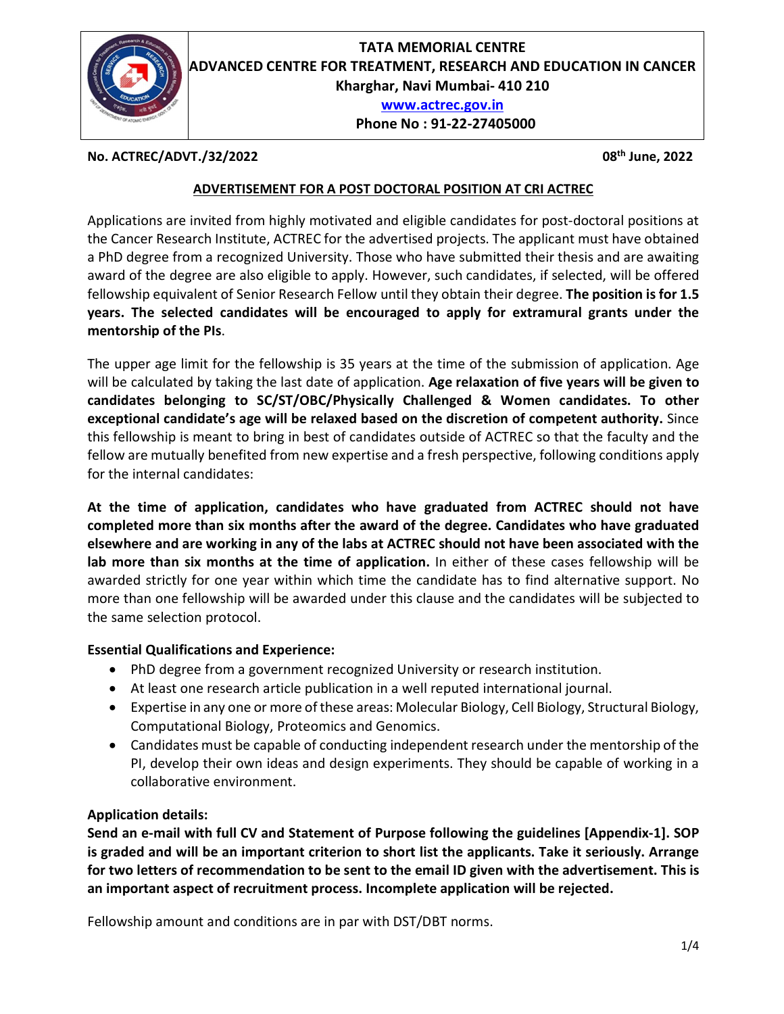

No. ACTREC/ADVT./32/2022 08<sup>th</sup> June, 2022

#### ADVERTISEMENT FOR A POST DOCTORAL POSITION AT CRI ACTREC

Applications are invited from highly motivated and eligible candidates for post-doctoral positions at the Cancer Research Institute, ACTREC for the advertised projects. The applicant must have obtained a PhD degree from a recognized University. Those who have submitted their thesis and are awaiting award of the degree are also eligible to apply. However, such candidates, if selected, will be offered fellowship equivalent of Senior Research Fellow until they obtain their degree. The position is for 1.5 years. The selected candidates will be encouraged to apply for extramural grants under the

mentorship of the PIs.<br>The upper age limit for the fellowship is 35 years at the time of the submission of application. Age will be calculated by taking the last date of application. Age relaxation of five years will be given to candidates belonging to SC/ST/OBC/Physically Challenged & Women candidates. To other exceptional candidate's age will be relaxed based on the discretion of competent authority. Since this fellowship is meant to bring in best of candidates outside of ACTREC so that the faculty and the fellow are mutually benefited from new expertise and a fresh perspective, following conditions apply for the internal candidates:

At the time of application, candidates who have graduated from ACTREC should not have completed more than six months after the award of the degree. Candidates who have graduated elsewhere and are working in any of the labs at ACTREC should not have been associated with the lab more than six months at the time of application. In either of these cases fellowship will be awarded strictly for one year within which time the candidate has to find alternative support. No more than one fellowship will be awarded under this clause and the candidates will be subjected to the same selection protocol.

#### Essential Qualifications and Experience:

- PhD degree from a government recognized University or research institution.
- At least one research article publication in a well reputed international journal.
- Expertise in any one or more of these areas: Molecular Biology, Cell Biology, Structural Biology, Computational Biology, Proteomics and Genomics.
- Candidates must be capable of conducting independent research under the mentorship of the PI, develop their own ideas and design experiments. They should be capable of working in a collaborative environment.

#### Application details:

Send an e-mail with full CV and Statement of Purpose following the guidelines [Appendix-1]. SOP is graded and will be an important criterion to short list the applicants. Take it seriously. Arrange for two letters of recommendation to be sent to the email ID given with the advertisement. This is an important aspect of recruitment process. Incomplete application will be rejected.

Fellowship amount and conditions are in par with DST/DBT norms.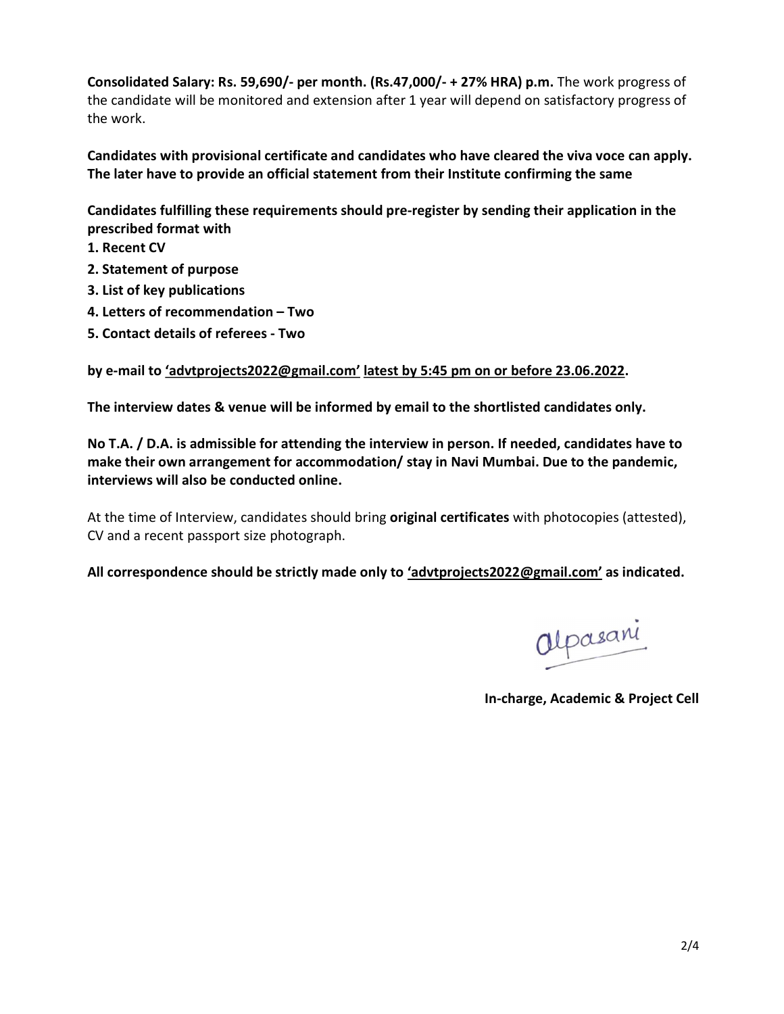Consolidated Salary: Rs. 59,690/- per month. (Rs.47,000/- + 27% HRA) p.m. The work progress of the candidate will be monitored and extension after 1 year will depend on satisfactory progress of the work.

Candidates with provisional certificate and candidates who have cleared the viva voce can apply. The later have to provide an official statement from their Institute confirming the same

Candidates fulfilling these requirements should pre-register by sending their application in the prescribed format with

- 1. Recent CV
- 2. Statement of purpose
- 3. List of key publications
- 4. Letters of recommendation Two
- 5. Contact details of referees Two

by e-mail to 'advtprojects2022@gmail.com' latest by 5:45 pm on or before 23.06.2022.

The interview dates & venue will be informed by email to the shortlisted candidates only.

No T.A. / D.A. is admissible for attending the interview in person. If needed, candidates have to make their own arrangement for accommodation/ stay in Navi Mumbai. Due to the pandemic, interviews will also be conducted online.

At the time of Interview, candidates should bring original certificates with photocopies (attested), CV and a recent passport size photograph.

All correspondence should be strictly made only to 'advtprojects2022@gmail.com' as indicated.

In-charge, Academic & Project Cell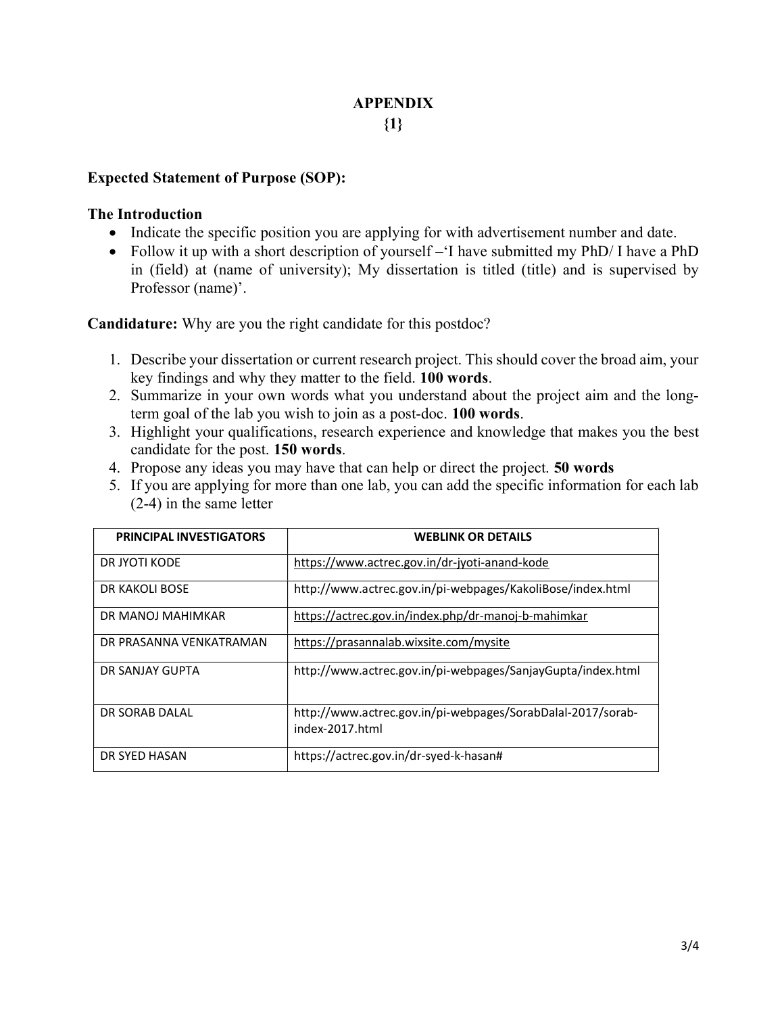#### APPENDIX  ${1}$

#### Expected Statement of Purpose (SOP):

#### The Introduction

- Indicate the specific position you are applying for with advertisement number and date.
- Follow it up with a short description of yourself –'I have submitted my PhD/ I have a PhD in (field) at (name of university); My dissertation is titled (title) and is supervised by Professor (name)'.

Candidature: Why are you the right candidate for this postdoc?

- 1. Describe your dissertation or current research project. This should cover the broad aim, your key findings and why they matter to the field. 100 words.
- 2. Summarize in your own words what you understand about the project aim and the longterm goal of the lab you wish to join as a post-doc. 100 words.
- 3. Highlight your qualifications, research experience and knowledge that makes you the best candidate for the post. 150 words.
- 4. Propose any ideas you may have that can help or direct the project. 50 words
- 5. If you are applying for more than one lab, you can add the specific information for each lab (2-4) in the same letter

| <b>PRINCIPAL INVESTIGATORS</b> | <b>WEBLINK OR DETAILS</b>                                                      |
|--------------------------------|--------------------------------------------------------------------------------|
| DR JYOTI KODE                  | https://www.actrec.gov.in/dr-jyoti-anand-kode                                  |
| DR KAKOLI BOSE                 | http://www.actrec.gov.in/pi-webpages/KakoliBose/index.html                     |
| DR MANOJ MAHIMKAR              | https://actrec.gov.in/index.php/dr-manoj-b-mahimkar                            |
| DR PRASANNA VENKATRAMAN        | https://prasannalab.wixsite.com/mysite                                         |
| DR SANJAY GUPTA                | http://www.actrec.gov.in/pi-webpages/SanjayGupta/index.html                    |
| DR SORAB DAI AI                | http://www.actrec.gov.in/pi-webpages/SorabDalal-2017/sorab-<br>index-2017.html |
| DR SYED HASAN                  | https://actrec.gov.in/dr-syed-k-hasan#                                         |